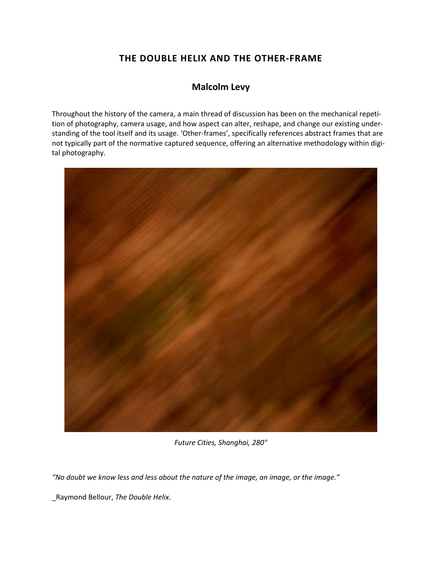## **THE DOUBLE HELIX AND THE OTHER-FRAME**

## **Malcolm Levy**

Throughout the history of the camera, a main thread of discussion has been on the mechanical repetition of photography, camera usage, and how aspect can alter, reshape, and change our existing understanding of the tool itself and its usage. 'Other-frames', specifically references abstract frames that are not typically part of the normative captured sequence, offering an alternative methodology within digital photography.



*Future Cities, Shanghai, 280"*

*"No doubt we know less and less about the nature of the image, an image, or the image."* 

\_Raymond Bellour, *The Double Helix*.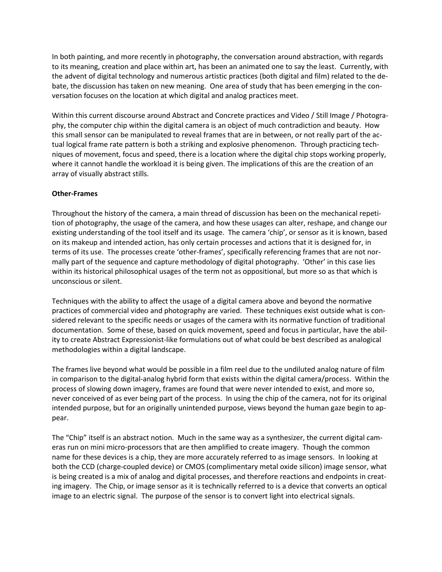In both painting, and more recently in photography, the conversation around abstraction, with regards to its meaning, creation and place within art, has been an animated one to say the least. Currently, with the advent of digital technology and numerous artistic practices (both digital and film) related to the debate, the discussion has taken on new meaning. One area of study that has been emerging in the conversation focuses on the location at which digital and analog practices meet.

Within this current discourse around Abstract and Concrete practices and Video / Still Image / Photography, the computer chip within the digital camera is an object of much contradiction and beauty. How this small sensor can be manipulated to reveal frames that are in between, or not really part of the actual logical frame rate pattern is both a striking and explosive phenomenon. Through practicing techniques of movement, focus and speed, there is a location where the digital chip stops working properly, where it cannot handle the workload it is being given. The implications of this are the creation of an array of visually abstract stills.

## **Other-Frames**

Throughout the history of the camera, a main thread of discussion has been on the mechanical repetition of photography, the usage of the camera, and how these usages can alter, reshape, and change our existing understanding of the tool itself and its usage. The camera 'chip', or sensor as it is known, based on its makeup and intended action, has only certain processes and actions that it is designed for, in terms of its use. The processes create 'other-frames', specifically referencing frames that are not normally part of the sequence and capture methodology of digital photography. 'Other' in this case lies within its historical philosophical usages of the term not as oppositional, but more so as that which is unconscious or silent.

Techniques with the ability to affect the usage of a digital camera above and beyond the normative practices of commercial video and photography are varied. These techniques exist outside what is considered relevant to the specific needs or usages of the camera with its normative function of traditional documentation. Some of these, based on quick movement, speed and focus in particular, have the ability to create Abstract Expressionist-like formulations out of what could be best described as analogical methodologies within a digital landscape.

The frames live beyond what would be possible in a film reel due to the undiluted analog nature of film in comparison to the digital-analog hybrid form that exists within the digital camera/process. Within the process of slowing down imagery, frames are found that were never intended to exist, and more so, never conceived of as ever being part of the process. In using the chip of the camera, not for its original intended purpose, but for an originally unintended purpose, views beyond the human gaze begin to appear.

The "Chip" itself is an abstract notion. Much in the same way as a synthesizer, the current digital cameras run on mini micro-processors that are then amplified to create imagery. Though the common name for these devices is a chip, they are more accurately referred to as image sensors. In looking at both the CCD (charge-coupled device) or CMOS (complimentary metal oxide silicon) image sensor, what is being created is a mix of analog and digital processes, and therefore reactions and endpoints in creating imagery. The Chip, or image sensor as it is technically referred to is a device that converts an optical image to an electric signal. The purpose of the sensor is to convert light into electrical signals.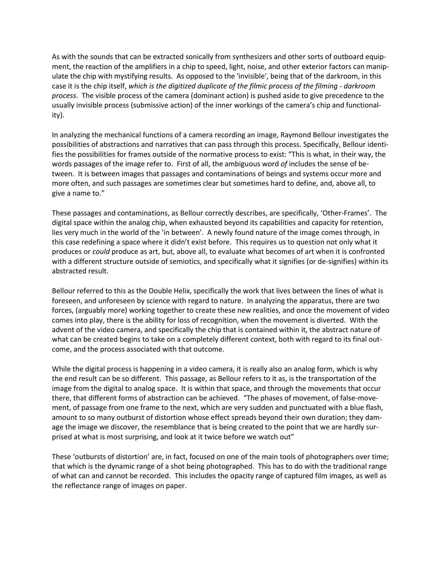As with the sounds that can be extracted sonically from synthesizers and other sorts of outboard equipment, the reaction of the amplifiers in a chip to speed, light, noise, and other exterior factors can manipulate the chip with mystifying results. As opposed to the 'invisible', being that of the darkroom, in this case it is the chip itself, *which is the digitized duplicate of the filmic process of the filming - darkroom process*.The visible process of the camera (dominant action) is pushed aside to give precedence to the usually invisible process (submissive action) of the inner workings of the camera's chip and functionality).

In analyzing the mechanical functions of a camera recording an image, Raymond Bellour investigates the possibilities of abstractions and narratives that can pass through this process. Specifically, Bellour identifies the possibilities for frames outside of the normative process to exist: "This is what, in their way, the words passages of the image refer to. First of all, the ambiguous word *of* includes the sense of between. It is between images that passages and contaminations of beings and systems occur more and more often, and such passages are sometimes clear but sometimes hard to define, and, above all, to give a name to."

These passages and contaminations, as Bellour correctly describes, are specifically, 'Other-Frames'. The digital space within the analog chip, when exhausted beyond its capabilities and capacity for retention, lies very much in the world of the 'in between'. A newly found nature of the image comes through, in this case redefining a space where it didn't exist before.This requires us to question not only what it produces or *could* produce as art, but, above all, to evaluate what becomes of art when it is confronted with a different structure outside of semiotics, and specifically what it signifies (or de-signifies) within its abstracted result.

Bellour referred to this as the Double Helix, specifically the work that lives between the lines of what is foreseen, and unforeseen by science with regard to nature. In analyzing the apparatus, there are two forces, (arguably more) working together to create these new realities, and once the movement of video comes into play, there is the ability for loss of recognition, when the movement is diverted. With the advent of the video camera, and specifically the chip that is contained within it, the abstract nature of what can be created begins to take on a completely different context, both with regard to its final outcome, and the process associated with that outcome.

While the digital process is happening in a video camera, it is really also an analog form, which is why the end result can be so different. This passage, as Bellour refers to it as, is the transportation of the image from the digital to analog space. It is within that space, and through the movements that occur there, that different forms of abstraction can be achieved. "The phases of movement, of false-movement, of passage from one frame to the next, which are very sudden and punctuated with a blue flash, amount to so many outburst of distortion whose effect spreads beyond their own duration; they damage the image we discover, the resemblance that is being created to the point that we are hardly surprised at what is most surprising, and look at it twice before we watch out"

These 'outbursts of distortion' are, in fact, focused on one of the main tools of photographers over time; that which is the dynamic range of a shot being photographed. This has to do with the traditional range of what can and cannot be recorded. This includes the opacity range of captured film images, as well as the reflectance range of images on paper.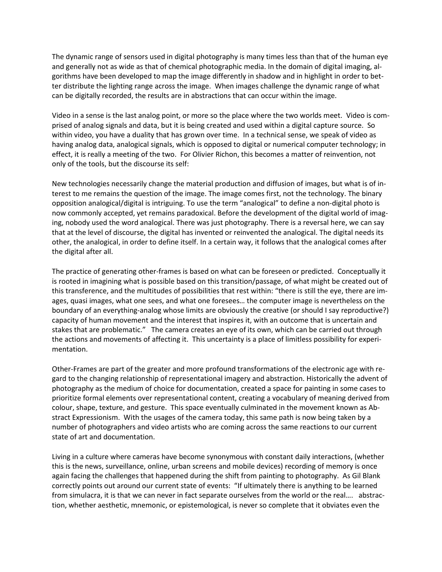The dynamic range of sensors used in digital photography is many times less than that of the human eye and generally not as wide as that of chemical photographic media. In the domain of digital imaging, algorithms have been developed to map the image differently in shadow and in highlight in order to better distribute the lighting range across the image. When images challenge the dynamic range of what can be digitally recorded, the results are in abstractions that can occur within the image.

Video in a sense is the last analog point, or more so the place where the two worlds meet. Video is comprised of analog signals and data, but it is being created and used within a digital capture source. So within video, you have a duality that has grown over time. In a technical sense, we speak of video as having analog data, analogical signals, which is opposed to digital or numerical computer technology; in effect, it is really a meeting of the two. For Olivier Richon, this becomes a matter of reinvention, not only of the tools, but the discourse its self:

New technologies necessarily change the material production and diffusion of images, but what is of interest to me remains the question of the image. The image comes first, not the technology. The binary opposition analogical/digital is intriguing. To use the term "analogical" to define a non-digital photo is now commonly accepted, yet remains paradoxical. Before the development of the digital world of imaging, nobody used the word analogical. There was just photography. There is a reversal here, we can say that at the level of discourse, the digital has invented or reinvented the analogical. The digital needs its other, the analogical, in order to define itself. In a certain way, it follows that the analogical comes after the digital after all.

The practice of generating other-frames is based on what can be foreseen or predicted. Conceptually it is rooted in imagining what is possible based on this transition/passage, of what might be created out of this transference, and the multitudes of possibilities that rest within: "there is still the eye, there are images, quasi images, what one sees, and what one foresees… the computer image is nevertheless on the boundary of an everything-analog whose limits are obviously the creative (or should I say reproductive?) capacity of human movement and the interest that inspires it, with an outcome that is uncertain and stakes that are problematic." The camera creates an eye of its own, which can be carried out through the actions and movements of affecting it. This uncertainty is a place of limitless possibility for experimentation.

Other-Frames are part of the greater and more profound transformations of the electronic age with regard to the changing relationship of representational imagery and abstraction. Historically the advent of photography as the medium of choice for documentation, created a space for painting in some cases to prioritize formal elements over representational content, creating a vocabulary of meaning derived from colour, shape, texture, and gesture. This space eventually culminated in the movement known as Abstract Expressionism. With the usages of the camera today, this same path is now being taken by a number of photographers and video artists who are coming across the same reactions to our current state of art and documentation.

Living in a culture where cameras have become synonymous with constant daily interactions, (whether this is the news, surveillance, online, urban screens and mobile devices) recording of memory is once again facing the challenges that happened during the shift from painting to photography. As Gil Blank correctly points out around our current state of events: "If ultimately there is anything to be learned from simulacra, it is that we can never in fact separate ourselves from the world or the real…. abstraction, whether aesthetic, mnemonic, or epistemological, is never so complete that it obviates even the